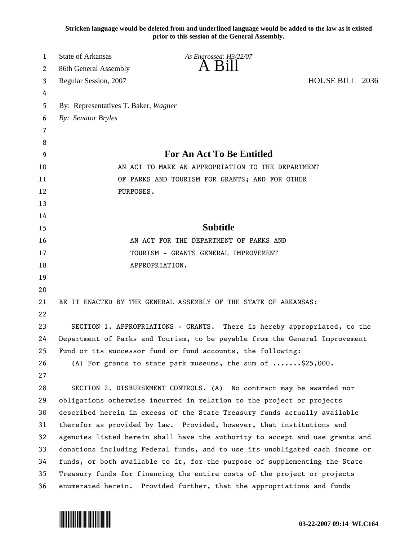**Stricken language would be deleted from and underlined language would be added to the law as it existed prior to this session of the General Assembly.**

| 1  | <b>State of Arkansas</b>                                                     | As Engrossed: H3/22/07                                                     |                 |  |
|----|------------------------------------------------------------------------------|----------------------------------------------------------------------------|-----------------|--|
| 2  | 86th General Assembly                                                        | $A$ B <sub>1</sub> II                                                      |                 |  |
| 3  | Regular Session, 2007                                                        |                                                                            | HOUSE BILL 2036 |  |
| 4  |                                                                              |                                                                            |                 |  |
| 5  | By: Representatives T. Baker, Wagner                                         |                                                                            |                 |  |
| 6  | By: Senator Bryles                                                           |                                                                            |                 |  |
| 7  |                                                                              |                                                                            |                 |  |
| 8  |                                                                              |                                                                            |                 |  |
| 9  | For An Act To Be Entitled                                                    |                                                                            |                 |  |
| 10 | AN ACT TO MAKE AN APPROPRIATION TO THE DEPARTMENT                            |                                                                            |                 |  |
| 11 |                                                                              | OF PARKS AND TOURISM FOR GRANTS; AND FOR OTHER                             |                 |  |
| 12 | PURPOSES.                                                                    |                                                                            |                 |  |
| 13 |                                                                              |                                                                            |                 |  |
| 14 |                                                                              |                                                                            |                 |  |
| 15 |                                                                              | <b>Subtitle</b>                                                            |                 |  |
| 16 | AN ACT FOR THE DEPARTMENT OF PARKS AND                                       |                                                                            |                 |  |
| 17 | TOURISM - GRANTS GENERAL IMPROVEMENT                                         |                                                                            |                 |  |
| 18 |                                                                              | APPROPRIATION.                                                             |                 |  |
| 19 |                                                                              |                                                                            |                 |  |
| 20 |                                                                              |                                                                            |                 |  |
| 21 |                                                                              | BE IT ENACTED BY THE GENERAL ASSEMBLY OF THE STATE OF ARKANSAS:            |                 |  |
| 22 |                                                                              |                                                                            |                 |  |
| 23 | SECTION 1. APPROPRIATIONS - GRANTS. There is hereby appropriated, to the     |                                                                            |                 |  |
| 24 | Department of Parks and Tourism, to be payable from the General Improvement  |                                                                            |                 |  |
| 25 | Fund or its successor fund or fund accounts, the following:                  |                                                                            |                 |  |
| 26 |                                                                              | (A) For grants to state park museums, the sum of $\ldots \ldots$ \$25,000. |                 |  |
| 27 |                                                                              |                                                                            |                 |  |
| 28 |                                                                              | SECTION 2. DISBURSEMENT CONTROLS. (A) No contract may be awarded nor       |                 |  |
| 29 | obligations otherwise incurred in relation to the project or projects        |                                                                            |                 |  |
| 30 | described herein in excess of the State Treasury funds actually available    |                                                                            |                 |  |
| 31 | therefor as provided by law. Provided, however, that institutions and        |                                                                            |                 |  |
| 32 | agencies listed herein shall have the authority to accept and use grants and |                                                                            |                 |  |
| 33 | donations including Federal funds, and to use its unobligated cash income or |                                                                            |                 |  |
| 34 | funds, or both available to it, for the purpose of supplementing the State   |                                                                            |                 |  |
| 35 | Treasury funds for financing the entire costs of the project or projects     |                                                                            |                 |  |
| 36 | enumerated herein. Provided further, that the appropriations and funds       |                                                                            |                 |  |